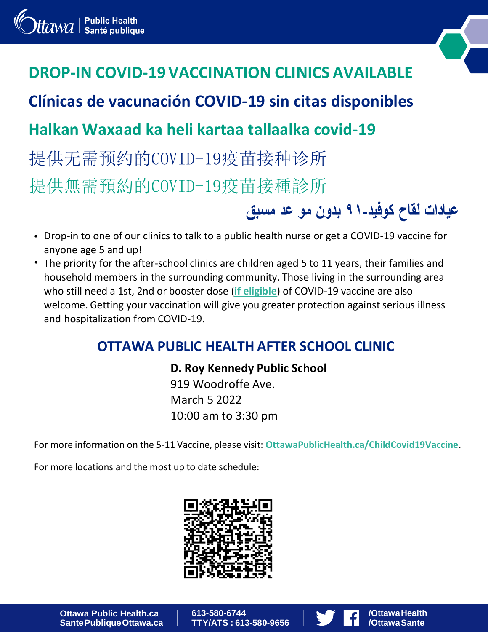# **DROP-IN COVID-19 VACCINATION CLINICS AVAILABLE**

**Clínicas de vacunación COVID-19 sin citas disponibles**

## **Halkan Waxaad ka heli kartaa tallaalka covid-19**

提供无需预约的COVID-19疫苗接种诊所 提供無需預約的COVID-19疫苗接種診所

- Drop-in to one of our clinics to talk to a public health nurse or get a COVID-19 vaccine for anyone age 5 and up!
- The priority for the after-school clinics are children aged 5 to 11 years, their families and household members in the surrounding community. Those living in the surrounding area who still need a 1st, 2nd or booster dose (**if eligible**) of COVID-19 vaccine are also welcome. Getting your vaccination will give you greater protection against serious illness and hospitalization from COVID-19.

#### **OTTAWA PUBLIC HEALTH AFTER SCHOOL CLINIC**

**D. Roy Kennedy Public School** 919 Woodroffe Ave. March 5 2022 10:00 am to 3:30 pm

For more information on the 5-11 Vaccine, please visit: **[OttawaPublicHealth.ca/ChildCovid19Vaccine](http://www.ottawapublichealth.ca/childcovid19vaccine)**.

For more locations and the most up to date schedule:



**Ottawa Public Health.ca SantePubliqueOttawa.ca** **613-580-6744 TTY/ATS : 613-580-9656**



**/OttawaHealth /OttawaSante**

**عيادات لقاح كوفيد۹۱- بدون مو عد مسبق**